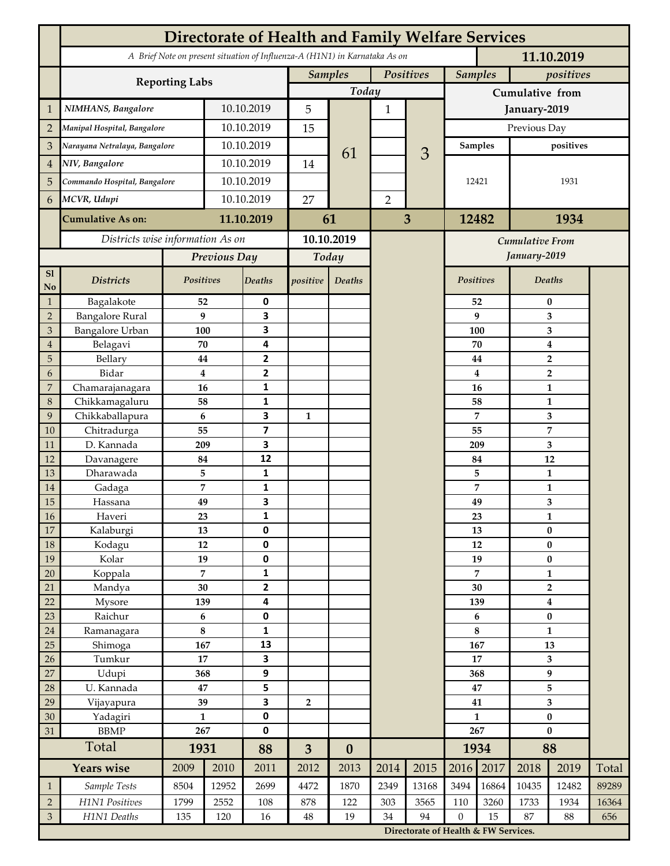| $\mathbf{1}$         | Manipal Hospital, Bangalore      |                      |                       |                         | <b>Samples</b>          |                                                                                          |                |                |                 |                                                                               |                                  |                         |       |  |  |  |  |  |
|----------------------|----------------------------------|----------------------|-----------------------|-------------------------|-------------------------|------------------------------------------------------------------------------------------|----------------|----------------|-----------------|-------------------------------------------------------------------------------|----------------------------------|-------------------------|-------|--|--|--|--|--|
|                      |                                  |                      |                       |                         |                         | A Brief Note on present situation of Influenza-A (H1N1) in Karnataka As on<br>11.10.2019 |                |                |                 |                                                                               |                                  |                         |       |  |  |  |  |  |
|                      |                                  |                      | <b>Reporting Labs</b> |                         |                         |                                                                                          | Positives      |                |                 | <b>Samples</b><br>positives                                                   |                                  |                         |       |  |  |  |  |  |
|                      |                                  |                      |                       |                         |                         | Today                                                                                    |                |                | Cumulative from |                                                                               |                                  |                         |       |  |  |  |  |  |
|                      |                                  | NIMHANS, Bangalore   |                       |                         | 5                       |                                                                                          | $\mathbf{1}$   |                | January-2019    |                                                                               |                                  |                         |       |  |  |  |  |  |
| $\overline{2}$       |                                  |                      |                       | 10.10.2019              |                         |                                                                                          |                |                | Previous Day    |                                                                               |                                  |                         |       |  |  |  |  |  |
| 3                    | Narayana Netralaya, Bangalore    |                      | 10.10.2019            |                         | 15                      |                                                                                          |                |                | <b>Samples</b>  |                                                                               |                                  | positives               |       |  |  |  |  |  |
| 4                    | NIV, Bangalore                   |                      | 10.10.2019            |                         | 14                      | 61                                                                                       |                | 3              |                 |                                                                               |                                  |                         |       |  |  |  |  |  |
| 5                    | Commando Hospital, Bangalore     |                      | 10.10.2019            |                         |                         |                                                                                          |                |                | 12421           |                                                                               | 1931                             |                         |       |  |  |  |  |  |
|                      | MCVR, Udupi                      |                      | 10.10.2019            |                         | 27                      |                                                                                          |                |                |                 |                                                                               |                                  |                         |       |  |  |  |  |  |
| 6                    |                                  |                      |                       |                         |                         |                                                                                          | $\overline{2}$ |                |                 |                                                                               |                                  |                         |       |  |  |  |  |  |
|                      | <b>Cumulative As on:</b>         |                      |                       | 11.10.2019              |                         | 61                                                                                       |                | $\overline{3}$ |                 | 12482                                                                         |                                  | 1934                    |       |  |  |  |  |  |
|                      | Districts wise information As on |                      |                       |                         |                         | 10.10.2019                                                                               |                |                |                 | <b>Cumulative From</b>                                                        |                                  |                         |       |  |  |  |  |  |
|                      |                                  |                      |                       | Previous Day            |                         | Today                                                                                    |                |                |                 |                                                                               |                                  | January-2019            |       |  |  |  |  |  |
| S1<br>$\mathbf {No}$ | <b>Districts</b>                 | <b>Positives</b>     |                       | <b>Deaths</b>           | positive                | Deaths                                                                                   |                |                | Positives       |                                                                               | Deaths                           |                         |       |  |  |  |  |  |
| $\mathbf{1}$         | Bagalakote                       | 52                   |                       | 0                       |                         |                                                                                          |                |                |                 | 52                                                                            | $\bf{0}$                         |                         |       |  |  |  |  |  |
| $\sqrt{2}$           | <b>Bangalore Rural</b>           | 9                    |                       | 3                       |                         |                                                                                          |                |                |                 | 9                                                                             | 3                                |                         |       |  |  |  |  |  |
| $\mathfrak{B}$       | <b>Bangalore Urban</b>           | 100                  |                       | 3                       |                         |                                                                                          |                |                | 100             |                                                                               | 3                                |                         |       |  |  |  |  |  |
| $\overline{4}$       | Belagavi                         | 70<br>44             |                       | 4<br>2                  |                         |                                                                                          |                |                |                 | 70                                                                            | 4                                |                         |       |  |  |  |  |  |
| 5<br>6               | Bellary<br>Bidar                 | $\bf{4}$             |                       | $\mathbf{2}$            |                         |                                                                                          |                |                |                 | 44<br>4                                                                       | $\overline{2}$<br>$\overline{2}$ |                         |       |  |  |  |  |  |
| 7                    | Chamarajanagara                  | 16                   |                       | $\mathbf{1}$            |                         |                                                                                          |                |                |                 | 16                                                                            | $\mathbf{1}$                     |                         |       |  |  |  |  |  |
| 8                    | Chikkamagaluru                   | 58                   |                       | 1                       |                         |                                                                                          |                |                | 58              |                                                                               | 1                                |                         |       |  |  |  |  |  |
| 9                    | Chikkaballapura                  | 6                    |                       | 3                       | $\mathbf{1}$            |                                                                                          |                |                |                 | 7                                                                             |                                  | 3                       |       |  |  |  |  |  |
| 10                   | Chitradurga                      | 55                   |                       | $\overline{\mathbf{z}}$ |                         |                                                                                          |                |                | 55              |                                                                               |                                  | $\overline{7}$          |       |  |  |  |  |  |
| 11                   | D. Kannada                       | 209                  |                       | 3                       |                         |                                                                                          |                |                |                 | 209                                                                           |                                  | 3                       |       |  |  |  |  |  |
| 12                   | Davanagere                       | 84                   |                       | 12                      |                         |                                                                                          |                |                | 84              |                                                                               | 12                               |                         |       |  |  |  |  |  |
| 13                   | Dharawada                        | 5                    |                       | 1                       |                         |                                                                                          |                |                |                 | 5                                                                             |                                  | $\mathbf{1}$            |       |  |  |  |  |  |
| 14<br>15             | Gadaga<br>Hassana                | $\overline{7}$<br>49 |                       | $\mathbf{1}$<br>3       |                         |                                                                                          |                |                |                 | 7                                                                             |                                  | $\mathbf{1}$            |       |  |  |  |  |  |
| 16                   | Haveri                           | 23                   |                       | 1                       |                         |                                                                                          |                |                |                 | 49<br>23                                                                      |                                  | 3<br>1                  |       |  |  |  |  |  |
| 17                   | Kalaburgi                        | 13                   |                       | 0                       |                         |                                                                                          |                |                | 13              |                                                                               | $\pmb{0}$                        |                         |       |  |  |  |  |  |
| $18\,$               | Kodagu                           | 12                   |                       | 0                       |                         |                                                                                          |                |                | 12              |                                                                               | $\pmb{0}$                        |                         |       |  |  |  |  |  |
| 19                   | Kolar                            | 19                   |                       | 0                       |                         |                                                                                          |                |                | 19              |                                                                               | $\pmb{0}$                        |                         |       |  |  |  |  |  |
| 20                   | Koppala                          | $\overline{7}$       |                       | $\mathbf{1}$            |                         |                                                                                          |                |                | $\overline{7}$  |                                                                               | $\mathbf{1}$                     |                         |       |  |  |  |  |  |
| 21                   | Mandya                           | 30                   |                       | 2                       |                         |                                                                                          |                |                | 30              |                                                                               |                                  | $\overline{\mathbf{2}}$ |       |  |  |  |  |  |
| 22                   | Mysore                           | 139                  |                       | 4                       |                         |                                                                                          |                |                | 139             |                                                                               | $\boldsymbol{4}$                 |                         |       |  |  |  |  |  |
| 23<br>24             | Raichur                          | 6<br>$\bf 8$         |                       | $\pmb{0}$<br>1          |                         |                                                                                          |                |                | 6<br>8          |                                                                               | $\pmb{0}$<br>$\mathbf{1}$        |                         |       |  |  |  |  |  |
| 25                   | Ramanagara<br>Shimoga            | 167                  |                       | 13                      |                         |                                                                                          |                |                | 167             |                                                                               | 13                               |                         |       |  |  |  |  |  |
| 26                   | Tumkur                           | 17                   |                       | 3                       |                         |                                                                                          |                |                | 17              |                                                                               | $\overline{\mathbf{3}}$          |                         |       |  |  |  |  |  |
| 27                   | Udupi                            | 368                  |                       | 9                       |                         |                                                                                          |                |                | 368             |                                                                               | $\boldsymbol{9}$                 |                         |       |  |  |  |  |  |
| 28                   | U. Kannada                       | 47                   |                       | 5                       |                         |                                                                                          |                |                | 47              |                                                                               | 5                                |                         |       |  |  |  |  |  |
| 29                   | Vijayapura                       | 39                   |                       | 3                       | $\overline{\mathbf{2}}$ |                                                                                          |                |                | 41              |                                                                               |                                  | 3                       |       |  |  |  |  |  |
| 30                   | Yadagiri                         | $\mathbf{1}$         |                       | 0<br>0                  |                         |                                                                                          |                |                | $\mathbf{1}$    |                                                                               | $\pmb{0}$                        |                         |       |  |  |  |  |  |
| 31                   | <b>BBMP</b>                      |                      | 267                   |                         |                         |                                                                                          |                |                | 267             |                                                                               | $\bf{0}$                         |                         |       |  |  |  |  |  |
|                      | Total                            | 1931                 |                       | 88                      | $\overline{3}$          | $\boldsymbol{0}$                                                                         |                |                |                 | 1934                                                                          | 88                               |                         |       |  |  |  |  |  |
|                      | <b>Years wise</b>                | 2009                 | 2010                  | 2011                    | 2012                    | 2013                                                                                     | 2014           | 2015           | 2016            | 2017                                                                          | 2018                             | 2019                    | Total |  |  |  |  |  |
| $\mathbf{1}$         | Sample Tests                     | 8504                 | 12952                 | 2699                    | 4472                    | 1870                                                                                     | 2349           | 13168          | 3494            | 16864                                                                         | 10435                            | 12482                   | 89289 |  |  |  |  |  |
| $\sqrt{2}$           | H1N1 Positives                   | 1799                 | 2552                  | 108                     | 878                     | 122                                                                                      | 303            | 3565           | 110             | 3260                                                                          | 1733                             | 1934                    | 16364 |  |  |  |  |  |
| $\mathfrak{Z}$       | H1N1 Deaths<br>135<br>120        |                      |                       | 16                      | $48\,$                  | 19                                                                                       | 34             | 94             |                 | $\mathbf{0}$<br>15<br>87<br>88<br>656<br>Directorate of Health & FW Services. |                                  |                         |       |  |  |  |  |  |